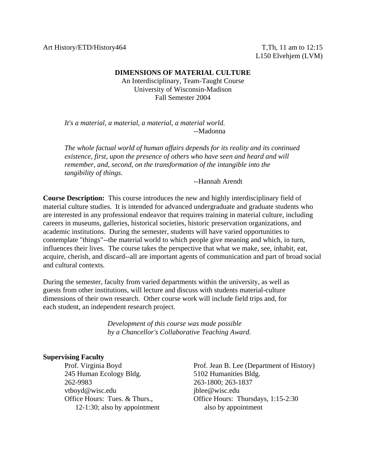Art History/ETD/History464 T,Th, 11 am to 12:15

L150 Elvehjem (LVM)

### **DIMENSIONS OF MATERIAL CULTURE**

An Interdisciplinary, Team-Taught Course University of Wisconsin-Madison Fall Semester 2004

 *It's a material, a material, a material, a material world.* --Madonna

 *The whole factual world of human affairs depends for its reality and its continued existence, first, upon the presence of others who have seen and heard and will remember, and, second, on the transformation of the intangible into the tangibility of things.*

--Hannah Arendt

**Course Description:** This course introduces the new and highly interdisciplinary field of material culture studies. It is intended for advanced undergraduate and graduate students who are interested in any professional endeavor that requires training in material culture, including careers in museums, galleries, historical societies, historic preservation organizations, and academic institutions. During the semester, students will have varied opportunities to contemplate "things"--the material world to which people give meaning and which, in turn, influences their lives. The course takes the perspective that what we make, see, inhabit, eat, acquire, cherish, and discard--all are important agents of communication and part of broad social and cultural contexts.

During the semester, faculty from varied departments within the university, as well as guests from other institutions, will lecture and discuss with students material-culture dimensions of their own research. Other course work will include field trips and, for each student, an independent research project.

> *Development of this course was made possible by a Chancellor's Collaborative Teaching Award.*

### **Supervising Faculty**

 245 Human Ecology Bldg. 5102 Humanities Bldg. 262-9983 263-1800; 263-1837 vtboyd@wisc.edu jblee@wisc.edu 12-1:30; also by appointment also by appointment

 Prof. Virginia Boyd Prof. Jean B. Lee (Department of History) Office Hours: Tues. & Thurs., Office Hours: Thursdays, 1:15-2:30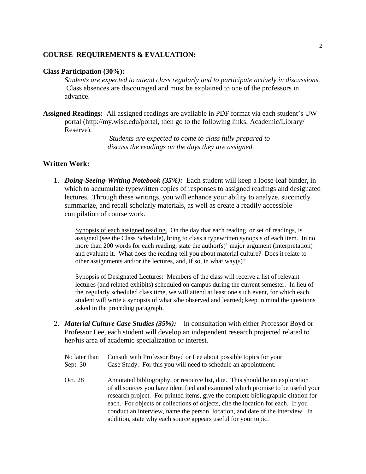### **COURSE REQUIREMENTS & EVALUATION:**

### **Class Participation (30%):**

*Students are expected to attend class regularly and to participate actively in discussions.*  Class absences are discouraged and must be explained to one of the professors in advance.

**Assigned Readings:** All assigned readings are available in PDF format via each student's UW portal (http://my.wisc.edu/portal, then go to the following links: Academic/Library/ Reserve).

> *Students are* e*xpected to come to class fully prepared to discuss the readings on the days they are assigned.*

### **Written Work:**

1. *Doing-Seeing-Writing Notebook (35%):*Each student will keep a loose-leaf binder, in which to accumulate typewritten copies of responses to assigned readings and designated lectures. Through these writings, you will enhance your ability to analyze, succinctly summarize, and recall scholarly materials, as well as create a readily accessible compilation of course work.

Synopsis of each assigned reading. On the day that each reading, or set of readings, is assigned (see the Class Schedule), bring to class a typewritten synopsis of each item. In no more than 200 words for each reading, state the author(s)' major argument (interpretation) and evaluate it. What does the reading tell you about material culture? Does it relate to other assignments and/or the lectures, and, if so, in what way(s)?

Synopsis of Designated Lectures: Members of the class will receive a list of relevant lectures (and related exhibits) scheduled on campus during the current semester. In lieu of the regularly scheduled class time, we will attend at least one such event, for which each student will write a synopsis of what s/he observed and learned; keep in mind the questions asked in the preceding paragraph.

- 2. *Material Culture Case Studies (35%):* In consultation with either Professor Boyd or Professor Lee, each student will develop an independent research projected related to her/his area of academic specialization or interest.
	- No later than Consult with Professor Boyd or Lee about possible topics for your Sept. 30 Case Study. For this you will need to schedule an appointment.
	- Oct. 28 Annotated bibliography, or resource list, due. This should be an exploration of all sources you have identified and examined which promise to be useful your research project. For printed items, give the complete bibliographic citation for each. For objects or collections of objects, cite the location for each. If you conduct an interview, name the person, location, and date of the interview. In addition, state why each source appears useful for your topic.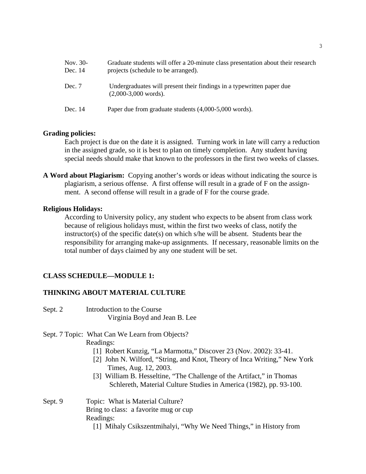| Nov. 30-<br>Dec. 14 | Graduate students will offer a 20-minute class presentation about their research<br>projects (schedule to be arranged). |
|---------------------|-------------------------------------------------------------------------------------------------------------------------|
| Dec. 7              | Undergraduates will present their findings in a typewritten paper due<br>$(2,000-3,000$ words).                         |
| Dec. 14             | Paper due from graduate students (4,000-5,000 words).                                                                   |

# **Grading policies:**

Each project is due on the date it is assigned. Turning work in late will carry a reduction in the assigned grade, so it is best to plan on timely completion. Any student having special needs should make that known to the professors in the first two weeks of classes.

**A Word about Plagiarism:** Copying another's words or ideas without indicating the source is plagiarism, a serious offense. A first offense will result in a grade of F on the assignment. A second offense will result in a grade of F for the course grade.

### **Religious Holidays:**

 According to University policy, any student who expects to be absent from class work because of religious holidays must, within the first two weeks of class, notify the instructor(s) of the specific date(s) on which s/he will be absent. Students bear the responsibility for arranging make-up assignments. If necessary, reasonable limits on the total number of days claimed by any one student will be set.

### **CLASS SCHEDULE—MODULE 1:**

### **THINKING ABOUT MATERIAL CULTURE**

- Sept. 2 Introduction to the Course Virginia Boyd and Jean B. Lee
- Sept. 7 Topic: What Can We Learn from Objects? Readings:
	- [1] Robert Kunzig, "La Marmotta," Discover 23 (Nov. 2002): 33-41.
	- [2] John N. Wilford, "String, and Knot, Theory of Inca Writing," New York Times, Aug. 12, 2003.
	- [3] William B. Hesseltine, "The Challenge of the Artifact," in Thomas Schlereth, Material Culture Studies in America (1982), pp. 93-100.

# Sept. 9 Topic: What is Material Culture? Bring to class: a favorite mug or cup Readings:

[1] Mihaly Csikszentmihalyi, "Why We Need Things," in History from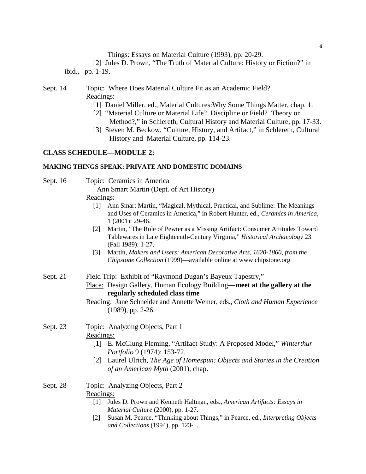Things: Essays on Material Culture (1993), pp. 20-29.

 [2] Jules D. Prown, "The Truth of Material Culture: History or Fiction?" in ibid., pp. 1-19.

# Sept. 14 Topic: Where Does Material Culture Fit as an Academic Field? Readings:

- [1] Daniel Miller, ed., Material Cultures: Why Some Things Matter, chap. 1.
- [2] "Material Culture or Material Life? Discipline or Field? Theory or Method?," in Schlereth, Cultural History and Material Culture, pp. 17-33.
- [3] Steven M. Beckow, "Culture, History, and Artifact," in Schlereth, Cultural History and Material Culture, pp. 114-23.

# **CLASS SCHEDULE—MODULE 2:**

### **MAKING THINGS SPEAK: PRIVATE AND DOMESTIC DOMAINS**

Sept. 16 Topic: Ceramics in America

Ann Smart Martin (Dept. of Art History)

# Readings:

- [1] Ann Smart Martin, "Magical, Mythical, Practical, and Sublime: The Meanings and Uses of Ceramics in America," in Robert Hunter, ed., *Ceramics in America*, 1 (2001): 29-46.
- [2] Martin, "The Role of Pewter as a Missing Artifact: Consumer Attitudes Toward Tablewares in Late Eighteenth-Century Virginia," *Historical Archaeology* 23 (Fall 1989): 1-27.
- [3] Martin, *Makers and Users: American Decorative Arts, 1620-1860, from the Chipstone Collection* (1999)—available online at www.chipstone.org
- Sept. 21 Field Trip: Exhibit of "Raymond Dugan's Bayeux Tapestry,"
	- Place: Design Gallery, Human Ecology Building—**meet at the gallery at the regularly scheduled class time**
	- Reading: Jane Schneider and Annette Weiner, eds., *Cloth and Human Experience* (1989), pp. 2-26.

# Sept. 23 Topic: Analyzing Objects, Part 1 Readings:

- [1] E. McClung Fleming, "Artifact Study: A Proposed Model," *Winterthur Portfolio* 9 (1974): 153-72.
- [2] Laurel Ulrich, *The Age of Homespun: Objects and Stories in the Creation of an American Myth* (2001), chap.

# Sept. 28 Topic: Analyzing Objects, Part 2

### Readings:

- [1] Jules D. Prown and Kenneth Haltman, eds., *American Artifacts: Essays in Material Culture* (2000), pp. 1-27.
- [2] Susan M. Pearce, "Thinking about Things," in Pearce, ed., *Interpreting Objects and Collections* (1994), pp. 123- .